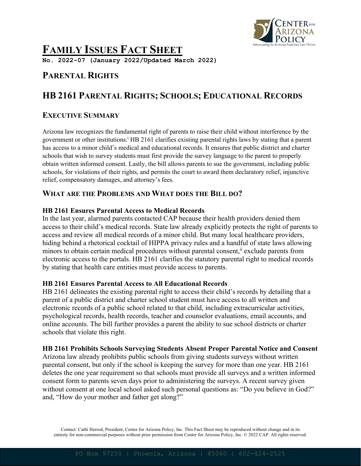

# **FAMILY ISSUES FACT SHEET**

**No. 2022-07 (January 2022/Updated March 2022)**

# **PARENTAL RIGHTS**

# **HB 2161 PARENTAL RIGHTS; SCHOOLS; EDUCATIONAL RECORDS**

## **EXECUTIVE SUMMARY**

Arizona law recognizes the fundamental right of parents to raise their child without interference by the government or other institutions. <sup>i</sup> HB 2161 clarifies existing parental rights laws by stating that a parent has access to a minor child's medical and educational records. It ensures that public district and charter schools that wish to survey students must first provide the survey language to the parent to properly obtain written informed consent. Lastly, the bill allows parents to sue the government, including public schools, for violations of their rights, and permits the court to award them declaratory relief, injunctive relief, compensatory damages, and attorney's fees.

## **WHAT ARE THE PROBLEMS AND WHAT DOES THE BILL DO?**

#### **HB 2161 Ensures Parental Access to Medical Records**

In the last year, alarmed parents contacted CAP because their health providers denied them access to their child's medical records. State law already explicitly protects the right of parents to access and review all medical records of a minor child. But many local healthcare providers, hiding behind a rhetorical cocktail of HIPPA privacy rules and a handful of state laws allowing minors to obtain certain medical procedures without parental consent,<sup>ii</sup> exclude parents from electronic access to the portals. HB 2161 clarifies the statutory parental right to medical records by stating that health care entities must provide access to parents.

#### **HB 2161 Ensures Parental Access to All Educational Records**

HB 2161 delineates the existing parental right to access their child's records by detailing that a parent of a public district and charter school student must have access to all written and electronic records of a public school related to that child, including extracurricular activities, psychological records, health records, teacher and counselor evaluations, email accounts, and online accounts. The bill further provides a parent the ability to sue school districts or charter schools that violate this right.

#### **HB 2161 Prohibits Schools Surveying Students Absent Proper Parental Notice and Consent**

Arizona law already prohibits public schools from giving students surveys without written parental consent, but only if the school is keeping the survey for more than one year. HB 2161 deletes the one year requirement so that schools must provide all surveys and a written informed consent form to parents seven days prior to administering the surveys. A recent survey given without consent at one local school asked such personal questions as: "Do you believe in God?" and, "How do your mother and father get along?"

Contact: Cathi Herrod, President, Center for Arizona Policy, Inc. This Fact Sheet may be reproduced without change and in its entirety for non-commercial purposes without prior permission from Center for Arizona Policy, Inc. © 2022 CAP. All rights reserved.